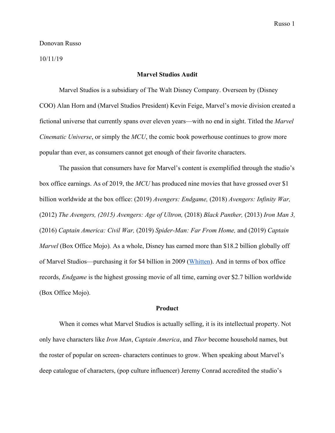#### Donovan Russo

#### 10/11/19

### **Marvel Studios Audit**

Marvel Studios is a subsidiary of The Walt Disney Company. Overseen by (Disney COO) Alan Horn and (Marvel Studios President) Kevin Feige, Marvel's movie division created a fictional universe that currently spans over eleven years—with no end in sight. Titled the *Marvel Cinematic Universe*, or simply the *MCU*, the comic book powerhouse continues to grow more popular than ever, as consumers cannot get enough of their favorite characters.

The passion that consumers have for Marvel's content is exemplified through the studio's box office earnings. As of 2019, the *MCU* has produced nine movies that have grossed over \$1 billion worldwide at the box office: (2019) *Avengers: Endgame,* (2018) *Avengers: Infinity War,* (2012) *The Avengers, (2015) Avengers: Age of Ultron,* (2018) *Black Panther,* (2013) *Iron Man 3,* (2016) *Captain America: Civil War,* (2019) *Spider-Man: Far From Home,* and (2019) *Captain Marvel* (Box Office Mojo). As a whole, Disney has earned more than \$18.2 billion globally off of Marvel Studios—purchasing it for \$4 billion in 2009 ([Whitten](https://www.cnbc.com/2019/07/21/disney-has-made-more-than-18-billion-from-marvel-films-since-2012.html)). And in terms of box office records, *Endgame* is the highest grossing movie of all time, earning over \$2.7 billion worldwide (Box Office Mojo).

## **Product**

When it comes what Marvel Studios is actually selling, it is its intellectual property. Not only have characters like *Iron Man*, *Captain America*, and *Thor* become household names, but the roster of popular on screen- characters continues to grow. When speaking about Marvel's deep catalogue of characters, (pop culture influencer) Jeremy Conrad accredited the studio's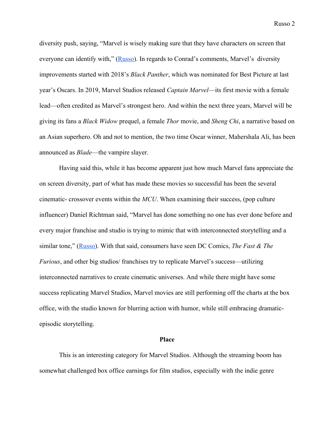diversity push, saying, "Marvel is wisely making sure that they have characters on screen that everyone can identify with," [\(Russo\)](https://finance.yahoo.com/news/marvel-phase-4-buzz-leaves-dc-on-the-outside-looking-in-133825919.html). In regards to Conrad's comments, Marvel's diversity improvements started with 2018's *Black Panther*, which was nominated for Best Picture at last year's Oscars. In 2019, Marvel Studios released *Captain Marvel*—its first movie with a female lead—often credited as Marvel's strongest hero. And within the next three years, Marvel will be giving its fans a *Black Widow* prequel, a female *Thor* movie, and *Sheng Chi*, a narrative based on an Asian superhero. Oh and not to mention, the two time Oscar winner, Mahershala Ali, has been announced as *Blade*—the vampire slayer.

Having said this, while it has become apparent just how much Marvel fans appreciate the on screen diversity, part of what has made these movies so successful has been the several cinematic- crossover events within the *MCU*. When examining their success, (pop culture influencer) Daniel Richtman said, "Marvel has done something no one has ever done before and every major franchise and studio is trying to mimic that with interconnected storytelling and a similar tone," [\(Russo\)](https://finance.yahoo.com/news/marvel-phase-4-buzz-leaves-dc-on-the-outside-looking-in-133825919.html). With that said, consumers have seen DC Comics, *The Fast & The Furious*, and other big studios/ franchises try to replicate Marvel's success—utilizing interconnected narratives to create cinematic universes. And while there might have some success replicating Marvel Studios, Marvel movies are still performing off the charts at the box office, with the studio known for blurring action with humor, while still embracing dramaticepisodic storytelling.

### **Place**

This is an interesting category for Marvel Studios. Although the streaming boom has somewhat challenged box office earnings for film studios, especially with the indie genre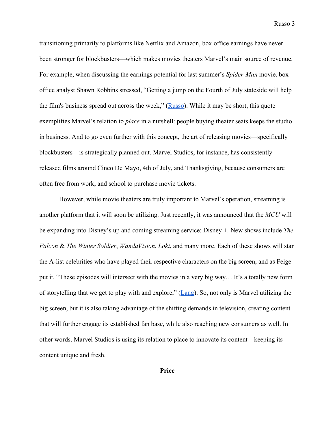transitioning primarily to platforms like Netflix and Amazon, box office earnings have never been stronger for blockbusters—which makes movies theaters Marvel's main source of revenue. For example, when discussing the earnings potential for last summer's *Spider-Man* movie, box office analyst Shawn Robbins stressed, "Getting a jump on the Fourth of July stateside will help the film's business spread out across the week," ([Russo\)](https://finance.yahoo.com/news/spider-man-far-from-home-set-to-defy-grim-summer-at-the-box-office-140000577.html). While it may be short, this quote exemplifies Marvel's relation to *place* in a nutshell: people buying theater seats keeps the studio in business. And to go even further with this concept, the art of releasing movies—specifically blockbusters—is strategically planned out. Marvel Studios, for instance, has consistently released films around Cinco De Mayo, 4th of July, and Thanksgiving, because consumers are often free from work, and school to purchase movie tickets.

However, while movie theaters are truly important to Marvel's operation, streaming is another platform that it will soon be utilizing. Just recently, it was announced that the *MCU* will be expanding into Disney's up and coming streaming service: Disney +. New shows include *The Falcon* & *The Winter Soldier*, *WandaVision*, *Loki*, and many more. Each of these shows will star the A-list celebrities who have played their respective characters on the big screen, and as Feige put it, "These episodes will intersect with the movies in a very big way… It's a totally new form of storytelling that we get to play with and explore," [\(Lang\)](https://variety.com/2019/film/news/marvel-studios-kevin-feige-xmen-wolverine-deadpool-disney-plus-1203190452/). So, not only is Marvel utilizing the big screen, but it is also taking advantage of the shifting demands in television, creating content that will further engage its established fan base, while also reaching new consumers as well. In other words, Marvel Studios is using its relation to place to innovate its content—keeping its content unique and fresh.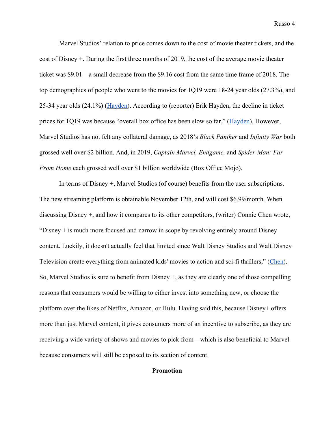Marvel Studios' relation to price comes down to the cost of movie theater tickets, and the cost of Disney +. During the first three months of 2019, the cost of the average movie theater ticket was \$9.01—a small decrease from the \$9.16 cost from the same time frame of 2018. The top demographics of people who went to the movies for 1Q19 were 18-24 year olds (27.3%), and 25-34 year olds (24.1%) ([Hayden\)](https://www.hollywoodreporter.com/news/average-movie-ticket-price-falls-slightly-as-box-office-lags-2019-1205084). According to (reporter) Erik Hayden, the decline in ticket prices for 1Q19 was because "overall box office has been slow so far," ([Hayden\)](https://www.hollywoodreporter.com/news/average-movie-ticket-price-falls-slightly-as-box-office-lags-2019-1205084). However, Marvel Studios has not felt any collateral damage, as 2018's *Black Panther* and *Infinity War* both grossed well over \$2 billion. And, in 2019, *Captain Marvel, Endgame,* and *Spider-Man: Far From Home* each grossed well over \$1 billion worldwide (Box Office Mojo).

In terms of Disney +, Marvel Studios (of course) benefits from the user subscriptions. The new streaming platform is obtainable November 12th, and will cost \$6.99/month. When discussing Disney +, and how it compares to its other competitors, (writer) Connie Chen wrote, "Disney  $+$  is much more focused and narrow in scope by revolving entirely around Disney" content. Luckily, it doesn't actually feel that limited since Walt Disney Studios and Walt Disney Television create everything from animated kids' movies to action and sci-fi thrillers," ([Chen](https://www.businessinsider.com/disney-plus)). So, Marvel Studios is sure to benefit from Disney +, as they are clearly one of those compelling reasons that consumers would be willing to either invest into something new, or choose the platform over the likes of Netflix, Amazon, or Hulu. Having said this, because Disney+ offers more than just Marvel content, it gives consumers more of an incentive to subscribe, as they are receiving a wide variety of shows and movies to pick from—which is also beneficial to Marvel because consumers will still be exposed to its section of content.

# **Promotion**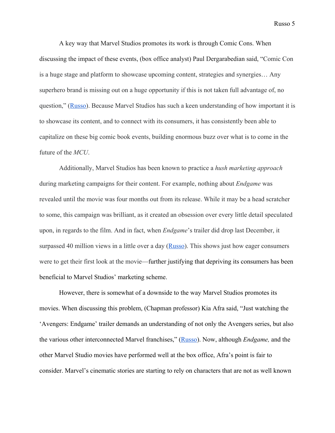A key way that Marvel Studios promotes its work is through Comic Cons. When discussing the impact of these events, (box office analyst) Paul Dergarabedian said, "Comic Con is a huge stage and platform to showcase upcoming content, strategies and synergies… Any superhero brand is missing out on a huge opportunity if this is not taken full advantage of, no question," ([Russo\)](https://finance.yahoo.com/news/marvel-phase-4-buzz-leaves-dc-on-the-outside-looking-in-133825919.html). Because Marvel Studios has such a keen understanding of how important it is to showcase its content, and to connect with its consumers, it has consistently been able to capitalize on these big comic book events, building enormous buzz over what is to come in the future of the *MCU*.

Additionally, Marvel Studios has been known to practice a *hush marketing approach* during marketing campaigns for their content. For example, nothing about *Endgame* was revealed until the movie was four months out from its release. While it may be a head scratcher to some, this campaign was brilliant, as it created an obsession over every little detail speculated upon, in regards to the film. And in fact, when *Endgame*'s trailer did drop last December, it surpassed 40 million views in a little over a day  $(Russo)$  $(Russo)$ . This shows just how eager consumers were to get their first look at the movie—further justifying that depriving its consumers has been beneficial to Marvel Studios' marketing scheme.

However, there is somewhat of a downside to the way Marvel Studios promotes its movies. When discussing this problem, (Chapman professor) Kia Afra said, "Just watching the 'Avengers: Endgame' trailer demands an understanding of not only the Avengers series, but also the various other interconnected Marvel franchises," ([Russo](https://www.cnbc.com/2018/12/08/avengers-real-endgame-another-2-billion-at-the-box-office.html)). Now, although *Endgame,* and the other Marvel Studio movies have performed well at the box office, Afra's point is fair to consider. Marvel's cinematic stories are starting to rely on characters that are not as well known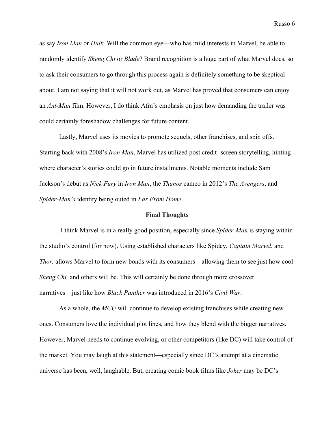as say *Iron Man* or *Hulk*. Will the common eye—who has mild interests in Marvel, be able to randomly identify *Sheng Chi* or *Blade*? Brand recognition is a huge part of what Marvel does, so to ask their consumers to go through this process again is definitely something to be skeptical about. I am not saying that it will not work out, as Marvel has proved that consumers can enjoy an *Ant-Man* film. However, I do think Afra's emphasis on just how demanding the trailer was could certainly foreshadow challenges for future content.

Lastly, Marvel uses its movies to promote sequels, other franchises, and spin offs. Starting back with 2008's *Iron Man*, Marvel has utilized post credit- screen storytelling, hinting where character's stories could go in future installments. Notable moments include Sam Jackson's debut as *Nick Fury* in *Iron Man*, the *Thanos* cameo in 2012's *The Avengers*, and *Spider-Man's* identity being outed in *Far From Home*.

### **Final Thoughts**

 I think Marvel is in a really good position, especially since *Spider-Man* is staying within the studio's control (for now). Using established characters like Spidey, *Captain Marvel*, and *Thor,* allows Marvel to form new bonds with its consumers—allowing them to see just how cool *Sheng Chi,* and others will be. This will certainly be done through more crossover narratives—just like how *Black Panther* was introduced in 2016's *Civil War*.

As a whole, the *MCU* will continue to develop existing franchises while creating new ones. Consumers love the individual plot lines, and how they blend with the bigger narratives. However, Marvel needs to continue evolving, or other competitors (like DC) will take control of the market. You may laugh at this statement—especially since DC's attempt at a cinematic universe has been, well, laughable. But, creating comic book films like *Joker* may be DC's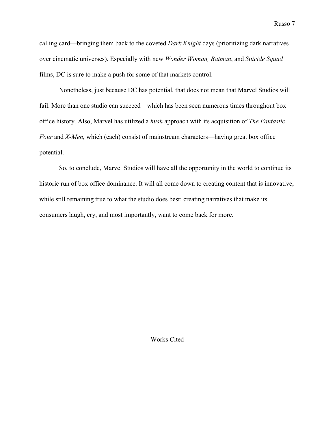calling card—bringing them back to the coveted *Dark Knight* days (prioritizing dark narratives over cinematic universes). Especially with new *Wonder Woman, Batman*, and *Suicide Squad* films, DC is sure to make a push for some of that markets control.

Nonetheless, just because DC has potential, that does not mean that Marvel Studios will fail. More than one studio can succeed—which has been seen numerous times throughout box office history. Also, Marvel has utilized a *hush* approach with its acquisition of *The Fantastic Four* and *X-Men,* which (each) consist of mainstream characters—having great box office potential.

So, to conclude, Marvel Studios will have all the opportunity in the world to continue its historic run of box office dominance. It will all come down to creating content that is innovative, while still remaining true to what the studio does best: creating narratives that make its consumers laugh, cry, and most importantly, want to come back for more.

Works Cited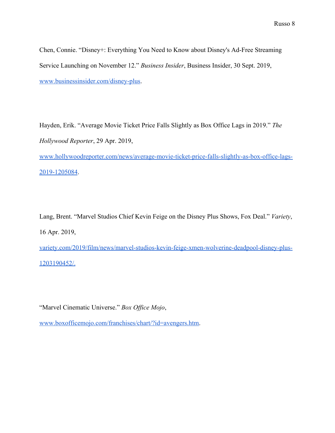Chen, Connie. "Disney+: Everything You Need to Know about Disney's Ad-Free Streaming Service Launching on November 12." *Business Insider*, Business Insider, 30 Sept. 2019, [www.businessinsider.com/disney-plus](http://www.businessinsider.com/disney-plus).

Hayden, Erik. "Average Movie Ticket Price Falls Slightly as Box Office Lags in 2019." *The Hollywood Reporter*, 29 Apr. 2019,

[www.hollywoodreporter.com/news/average-movie-ticket-price-falls-slightly-as-box-office-lags-](http://www.hollywoodreporter.com/news/average-movie-ticket-price-falls-slightly-as-box-office-lags-2019-1205084)[2019-1205084.](http://www.hollywoodreporter.com/news/average-movie-ticket-price-falls-slightly-as-box-office-lags-2019-1205084)

Lang, Brent. "Marvel Studios Chief Kevin Feige on the Disney Plus Shows, Fox Deal." *Variety*, 16 Apr. 2019,

[variety.com/2019/film/news/marvel-studios-kevin-feige-xmen-wolverine-deadpool-disney-plus-](https://variety.com/2019/film/news/marvel-studios-kevin-feige-xmen-wolverine-deadpool-disney-plus-1203190452/)[1203190452/.](https://variety.com/2019/film/news/marvel-studios-kevin-feige-xmen-wolverine-deadpool-disney-plus-1203190452/)

"Marvel Cinematic Universe." *Box Office Mojo*,

[www.boxofficemojo.com/franchises/chart/?id=avengers.htm.](http://www.boxofficemojo.com/franchises/chart/?id=avengers.htm)